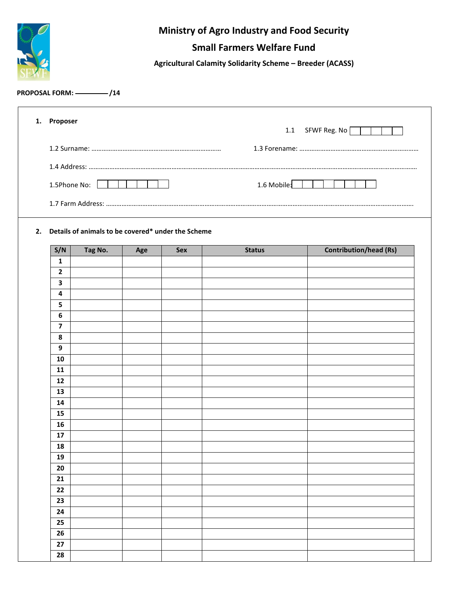

## **Ministry of Agro Industry and Food Security**

## **Small Farmers Welfare Fund**

**Agricultural Calamity Solidarity Scheme – Breeder (ACASS)**

## PROPOSAL FORM:  $\frac{1}{14}$

| 1. | Proposer<br>1.1 SFWF Reg. No   |                                                       |     |            |               |                               |  |  |  |  |  |  |
|----|--------------------------------|-------------------------------------------------------|-----|------------|---------------|-------------------------------|--|--|--|--|--|--|
|    |                                |                                                       |     |            |               |                               |  |  |  |  |  |  |
|    |                                |                                                       |     |            |               |                               |  |  |  |  |  |  |
|    |                                |                                                       |     |            |               |                               |  |  |  |  |  |  |
|    |                                | 1.5Phone No: [                                        |     |            | 1.6 Mobile:   |                               |  |  |  |  |  |  |
|    |                                |                                                       |     |            |               |                               |  |  |  |  |  |  |
|    |                                |                                                       |     |            |               |                               |  |  |  |  |  |  |
|    |                                |                                                       |     |            |               |                               |  |  |  |  |  |  |
|    |                                | 2. Details of animals to be covered* under the Scheme |     |            |               |                               |  |  |  |  |  |  |
|    | S/N                            | Tag No.                                               | Age | <b>Sex</b> | <b>Status</b> | <b>Contribution/head (Rs)</b> |  |  |  |  |  |  |
|    | $\mathbf{1}$<br>$\overline{2}$ |                                                       |     |            |               |                               |  |  |  |  |  |  |
|    | $\overline{\mathbf{3}}$        |                                                       |     |            |               |                               |  |  |  |  |  |  |
|    | 4                              |                                                       |     |            |               |                               |  |  |  |  |  |  |
|    | 5                              |                                                       |     |            |               |                               |  |  |  |  |  |  |
|    | 6                              |                                                       |     |            |               |                               |  |  |  |  |  |  |
|    | $\overline{\mathbf{z}}$        |                                                       |     |            |               |                               |  |  |  |  |  |  |
|    | 8                              |                                                       |     |            |               |                               |  |  |  |  |  |  |
|    | 9                              |                                                       |     |            |               |                               |  |  |  |  |  |  |
|    | 10                             |                                                       |     |            |               |                               |  |  |  |  |  |  |
|    | 11                             |                                                       |     |            |               |                               |  |  |  |  |  |  |
|    | 12                             |                                                       |     |            |               |                               |  |  |  |  |  |  |
|    | 13                             |                                                       |     |            |               |                               |  |  |  |  |  |  |
|    | 14                             |                                                       |     |            |               |                               |  |  |  |  |  |  |
|    | 15                             |                                                       |     |            |               |                               |  |  |  |  |  |  |
|    | 16<br>17                       |                                                       |     |            |               |                               |  |  |  |  |  |  |
|    | 18                             |                                                       |     |            |               |                               |  |  |  |  |  |  |
|    | 19                             |                                                       |     |            |               |                               |  |  |  |  |  |  |
|    | 20                             |                                                       |     |            |               |                               |  |  |  |  |  |  |
|    | 21                             |                                                       |     |            |               |                               |  |  |  |  |  |  |
|    | 22                             |                                                       |     |            |               |                               |  |  |  |  |  |  |
|    | 23                             |                                                       |     |            |               |                               |  |  |  |  |  |  |
|    | 24                             |                                                       |     |            |               |                               |  |  |  |  |  |  |
|    | 25                             |                                                       |     |            |               |                               |  |  |  |  |  |  |
|    | 26                             |                                                       |     |            |               |                               |  |  |  |  |  |  |
|    | 27                             |                                                       |     |            |               |                               |  |  |  |  |  |  |
|    | 28                             |                                                       |     |            |               |                               |  |  |  |  |  |  |